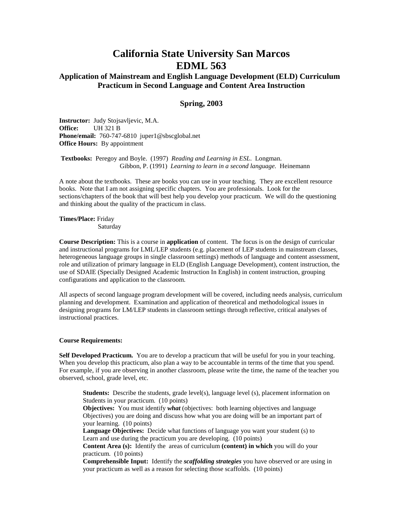# **California State University San Marcos EDML 563**

## **Application of Mainstream and English Language Development (ELD) Curriculum Practicum in Second Language and Content Area Instruction**

### **Spring, 2003**

**Instructor:** Judy Stojsavljevic, M.A. **Office:** UH 321 B **Phone/email:** 760-747-6810 juper1@sbscglobal.net **Office Hours:** By appointment

**Textbooks:** Peregoy and Boyle. (1997) *Reading and Learning in ESL*. Longman. Gibbon, P. (1991) *Learning to learn in a second language.* Heinemann

A note about the textbooks. These are books you can use in your teaching. They are excellent resource books. Note that I am not assigning specific chapters. You are professionals. Look for the sections/chapters of the book that will best help you develop your practicum. We will do the questioning and thinking about the quality of the practicum in class.

**Times/Place:** Friday Saturday

**Course Description:** This is a course in **application** of content. The focus is on the design of curricular and instructional programs for LML/LEP students (e.g. placement of LEP students in mainstream classes, heterogeneous language groups in single classroom settings) methods of language and content assessment, role and utilization of primary language in ELD (English Language Development), content instruction, the use of SDAIE (Specially Designed Academic Instruction In English) in content instruction, grouping configurations and application to the classroom.

All aspects of second language program development will be covered, including needs analysis, curriculum planning and development. Examination and application of theoretical and methodological issues in designing programs for LM/LEP students in classroom settings through reflective, critical analyses of instructional practices.

#### **Course Requirements:**

**Self Developed Practicum.** You are to develop a practicum that will be useful for you in your teaching. When you develop this practicum, also plan a way to be accountable in terms of the time that you spend. For example, if you are observing in another classroom, please write the time, the name of the teacher you observed, school, grade level, etc.

**Students:** Describe the students, grade level(s), language level (s), placement information on Students in your practicum. (10 points)

**Objectives:** You must identify *what* (objectives: both learning objectives and language Objectives) you are doing and discuss how what you are doing will be an important part of your learning. (10 points)

**Language Objectives:** Decide what functions of language you want your student (s) to Learn and use during the practicum you are developing. (10 points)

**Content Area (s):** Identify the areas of curriculum **(content) in which** you will do your practicum. (10 points)

**Comprehensible Input:** Identify the *scaffolding strategies* you have observed or are using in your practicum as well as a reason for selecting those scaffolds. (10 points)